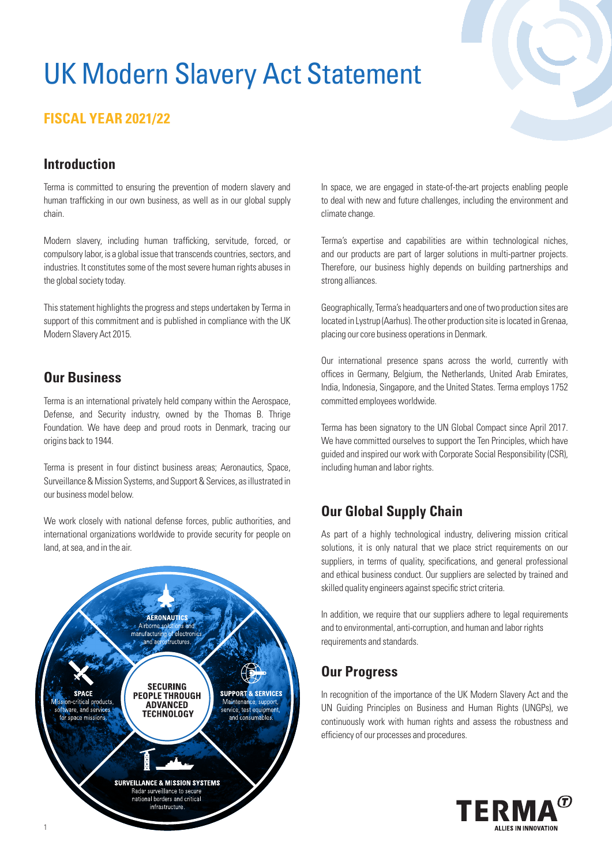# UK Modern Slavery Act Statement

## **FISCAL YEAR 2021/22**

## **Introduction**

Terma is committed to ensuring the prevention of modern slavery and human trafficking in our own business, as well as in our global supply chain.

Modern slavery, including human trafficking, servitude, forced, or compulsory labor, is a global issue that transcends countries, sectors, and industries. It constitutes some of the most severe human rights abuses in the global society today.

This statement highlights the progress and steps undertaken by Terma in support of this commitment and is published in compliance with the UK Modern Slavery Act 2015.

## **Our Business**

Terma is an international privately held company within the Aerospace, Defense, and Security industry, owned by the Thomas B. Thrige Foundation. We have deep and proud roots in Denmark, tracing our origins back to 1944.

Terma is present in four distinct business areas; Aeronautics, Space, Surveillance & Mission Systems, and Support & Services, as illustrated in our business model below.

We work closely with national defense forces, public authorities, and international organizations worldwide to provide security for people on land, at sea, and in the air.



In space, we are engaged in state-of-the-art projects enabling people to deal with new and future challenges, including the environment and climate change.

Terma's expertise and capabilities are within technological niches, and our products are part of larger solutions in multi-partner projects. Therefore, our business highly depends on building partnerships and strong alliances.

Geographically, Terma's headquarters and one of two production sites are located in Lystrup (Aarhus). The other production site is located in Grenaa, placing our core business operations in Denmark.

Our international presence spans across the world, currently with offices in Germany, Belgium, the Netherlands, United Arab Emirates, India, Indonesia, Singapore, and the United States. Terma employs 1752 committed employees worldwide.

Terma has been signatory to the UN Global Compact since April 2017. We have committed ourselves to support the Ten Principles, which have guided and inspired our work with Corporate Social Responsibility (CSR), including human and labor rights.

## **Our Global Supply Chain**

As part of a highly technological industry, delivering mission critical solutions, it is only natural that we place strict requirements on our suppliers, in terms of quality, specifications, and general professional and ethical business conduct. Our suppliers are selected by trained and skilled quality engineers against specific strict criteria.

In addition, we require that our suppliers adhere to legal requirements and to environmental, anti-corruption, and human and labor rights requirements and standards.

## **Our Progress**

In recognition of the importance of the UK Modern Slavery Act and the UN Guiding Principles on Business and Human Rights (UNGPs), we continuously work with human rights and assess the robustness and efficiency of our processes and procedures.

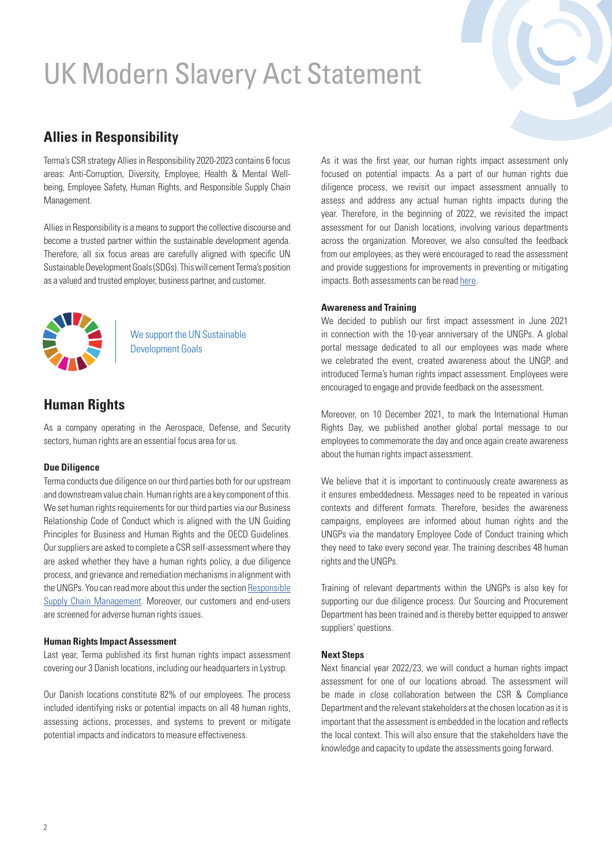# UK Modern Slavery Act Statement

## **Allies in Responsibility**

Terma's CSR strategy Allies in Responsibility 2020-2023 contains 6 focus areas: Anti-Corruption, Diversity, Employee, Health & Mental Wellbeing, Employee Safety, Human Rights, and Responsible Supply Chain Management.

Allies in Responsibility is a means to support the collective discourse and become a trusted partner within the sustainable development agenda. Therefore, all six focus areas are carefully aligned with specific UN Sustainable Development Goals (SDGs). This will cement Terma's position as a valued and trusted employer, business partner, and customer.



We support the UN Sustainable Development Goals

### **Human Rights**

As a company operating in the Aerospace, Defense, and Security sectors, human rights are an essential focus area for us.

#### **Due Diligence**

Terma conducts due diligence on our third parties both for our upstream and downstream value chain. Human rights are a key component of this. We set human rights requirements for our third parties via our Business Relationship Code of Conduct which is aligned with the UN Guiding Principles for Business and Human Rights and the OECD Guidelines. Our suppliers are asked to complete a CSR self-assessment where they are asked whether they have a human rights policy, a due diligence process, and grievance and remediation mechanisms in alignment with the UNGPs. You can read more about this under the section [Responsible](#page-2-0)  [Supply Chain Management](#page-2-0). Moreover, our customers and end-users are screened for adverse human rights issues.

#### **Human Rights Impact Assessment**

Last year, Terma published its first human rights impact assessment covering our 3 Danish locations, including our headquarters in Lystrup.

Our Danish locations constitute 82% of our employees. The process included identifying risks or potential impacts on all 48 human rights, assessing actions, processes, and systems to prevent or mitigate potential impacts and indicators to measure effectiveness.

As it was the first year, our human rights impact assessment only focused on potential impacts. As a part of our human rights due diligence process, we revisit our impact assessment annually to assess and address any actual human rights impacts during the year. Therefore, in the beginning of 2022, we revisited the impact assessment for our Danish locations, involving various departments across the organization. Moreover, we also consulted the feedback from our employees, as they were encouraged to read the assessment and provide suggestions for improvements in preventing or mitigating impacts. Both assessments can be read [here.](https://www.terma.com/who-we-are/our-responsibility/)

#### **Awareness and Training**

We decided to publish our first impact assessment in June 2021 in connection with the 10-year anniversary of the UNGPs. A global portal message dedicated to all our employees was made where we celebrated the event, created awareness about the UNGP, and introduced Terma's human rights impact assessment. Employees were encouraged to engage and provide feedback on the assessment.

Moreover, on 10 December 2021, to mark the International Human Rights Day, we published another global portal message to our employees to commemorate the day and once again create awareness about the human rights impact assessment.

We believe that it is important to continuously create awareness as it ensures embeddedness. Messages need to be repeated in various contexts and different formats. Therefore, besides the awareness campaigns, employees are informed about human rights and the UNGPs via the mandatory Employee Code of Conduct training which they need to take every second year. The training describes 48 human rights and the UNGPs.

Training of relevant departments within the UNGPs is also key for supporting our due diligence process. Our Sourcing and Procurement Department has been trained and is thereby better equipped to answer suppliers' questions.

#### **Next Steps**

Next financial year 2022/23, we will conduct a human rights impact assessment for one of our locations abroad. The assessment will be made in close collaboration between the CSR & Compliance Department and the relevant stakeholders at the chosen location as it is important that the assessment is embedded in the location and reflects the local context. This will also ensure that the stakeholders have the knowledge and capacity to update the assessments going forward.